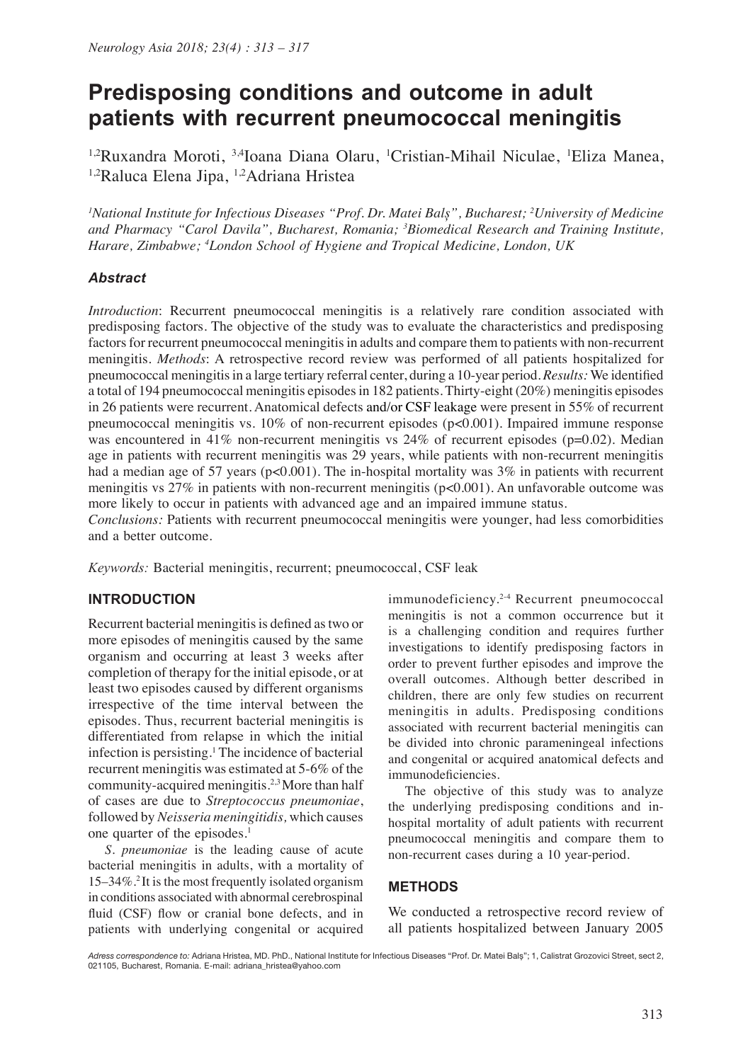# **Predisposing conditions and outcome in adult patients with recurrent pneumococcal meningitis**

<sup>1,2</sup>Ruxandra Moroti, <sup>3,4</sup>Ioana Diana Olaru, <sup>1</sup>Cristian-Mihail Niculae, <sup>1</sup>Eliza Manea, 1,2Raluca Elena Jipa, 1,2Adriana Hristea

*1 National Institute for Infectious Diseases "Prof. Dr. Matei Balș", Bucharest; <sup>2</sup> University of Medicine and Pharmacy "Carol Davila", Bucharest, Romania; <sup>3</sup> Biomedical Research and Training Institute, Harare, Zimbabwe; <sup>4</sup> London School of Hygiene and Tropical Medicine, London, UK*

## *Abstract*

*Introduction*: Recurrent pneumococcal meningitis is a relatively rare condition associated with predisposing factors. The objective of the study was to evaluate the characteristics and predisposing factors for recurrent pneumococcal meningitis in adults and compare them to patients with non-recurrent meningitis. *Methods*: A retrospective record review was performed of all patients hospitalized for pneumococcal meningitis in a large tertiary referral center, during a 10-year period. *Results:* We identified a total of 194 pneumococcal meningitis episodes in 182 patients. Thirty-eight (20%) meningitis episodes in 26 patients were recurrent. Anatomical defects and/or CSF leakage were present in 55% of recurrent pneumococcal meningitis vs. 10% of non-recurrent episodes (p<0.001). Impaired immune response was encountered in 41% non-recurrent meningitis vs  $24%$  of recurrent episodes (p=0.02). Median age in patients with recurrent meningitis was 29 years, while patients with non-recurrent meningitis had a median age of 57 years ( $p<0.001$ ). The in-hospital mortality was 3% in patients with recurrent meningitis vs 27% in patients with non-recurrent meningitis (p<0.001). An unfavorable outcome was more likely to occur in patients with advanced age and an impaired immune status.

*Conclusions:* Patients with recurrent pneumococcal meningitis were younger, had less comorbidities and a better outcome.

*Keywords:* Bacterial meningitis, recurrent; pneumococcal, CSF leak

## **INTRODUCTION**

Recurrent bacterial meningitis is defined as two or more episodes of meningitis caused by the same organism and occurring at least 3 weeks after completion of therapy for the initial episode, or at least two episodes caused by different organisms irrespective of the time interval between the episodes. Thus, recurrent bacterial meningitis is differentiated from relapse in which the initial infection is persisting.<sup>1</sup> The incidence of bacterial recurrent meningitis was estimated at 5-6% of the community-acquired meningitis.2,3 More than half of cases are due to *Streptococcus pneumoniae*, followed by *Neisseria meningitidis,* which causes one quarter of the episodes.<sup>1</sup>

*S. pneumoniae* is the leading cause of acute bacterial meningitis in adults, with a mortality of 15–34%.2 It is the most frequently isolated organism in conditions associated with abnormal cerebrospinal fluid (CSF) flow or cranial bone defects, and in patients with underlying congenital or acquired immunodeficiency.2-4 Recurrent pneumococcal meningitis is not a common occurrence but it is a challenging condition and requires further investigations to identify predisposing factors in order to prevent further episodes and improve the overall outcomes. Although better described in children, there are only few studies on recurrent meningitis in adults. Predisposing conditions associated with recurrent bacterial meningitis can be divided into chronic parameningeal infections and congenital or acquired anatomical defects and immunodeficiencies.

The objective of this study was to analyze the underlying predisposing conditions and inhospital mortality of adult patients with recurrent pneumococcal meningitis and compare them to non-recurrent cases during a 10 year-period.

#### **METHODS**

We conducted a retrospective record review of all patients hospitalized between January 2005

*Adress correspondence to:* Adriana Hristea, MD. PhD., National Institute for Infectious Diseases "Prof. Dr. Matei Balș"; 1, Calistrat Grozovici Street, sect 2, 021105, Bucharest, Romania. E-mail: adriana\_hristea@yahoo.com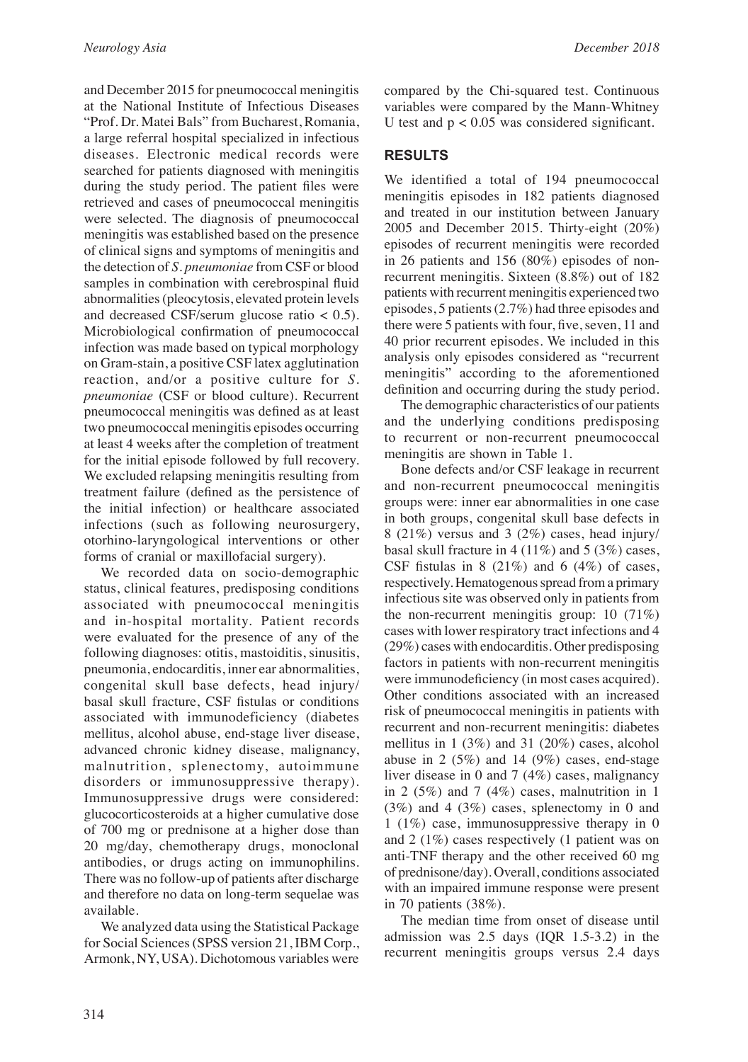and December 2015 for pneumococcal meningitis at the National Institute of Infectious Diseases "Prof. Dr. Matei Bals" from Bucharest, Romania, a large referral hospital specialized in infectious diseases. Electronic medical records were searched for patients diagnosed with meningitis during the study period. The patient files were retrieved and cases of pneumococcal meningitis were selected. The diagnosis of pneumococcal meningitis was established based on the presence of clinical signs and symptoms of meningitis and the detection of *S. pneumoniae* from CSF or blood samples in combination with cerebrospinal fluid abnormalities (pleocytosis, elevated protein levels and decreased CSF/serum glucose ratio < 0.5)*.* Microbiological confirmation of pneumococcal infection was made based on typical morphology on Gram-stain, a positive CSF latex agglutination reaction, and/or a positive culture for *S. pneumoniae* (CSF or blood culture). Recurrent pneumococcal meningitis was defined as at least two pneumococcal meningitis episodes occurring at least 4 weeks after the completion of treatment for the initial episode followed by full recovery. We excluded relapsing meningitis resulting from treatment failure (defined as the persistence of the initial infection) or healthcare associated infections (such as following neurosurgery, otorhino-laryngological interventions or other forms of cranial or maxillofacial surgery).

We recorded data on socio-demographic status, clinical features, predisposing conditions associated with pneumococcal meningitis and in-hospital mortality. Patient records were evaluated for the presence of any of the following diagnoses: otitis, mastoiditis, sinusitis, pneumonia, endocarditis, inner ear abnormalities, congenital skull base defects, head injury/ basal skull fracture, CSF fistulas or conditions associated with immunodeficiency (diabetes mellitus, alcohol abuse, end-stage liver disease, advanced chronic kidney disease, malignancy, malnutrition, splenectomy, autoimmune disorders or immunosuppressive therapy). Immunosuppressive drugs were considered: glucocorticosteroids at a higher cumulative dose of 700 mg or prednisone at a higher dose than 20 mg/day, chemotherapy drugs, monoclonal antibodies, or drugs acting on immunophilins. There was no follow-up of patients after discharge and therefore no data on long-term sequelae was available.

We analyzed data using the Statistical Package for Social Sciences (SPSS version 21, IBM Corp., Armonk, NY, USA). Dichotomous variables were

compared by the Chi-squared test. Continuous variables were compared by the Mann-Whitney U test and  $p < 0.05$  was considered significant.

## **RESULTS**

We identified a total of 194 pneumococcal meningitis episodes in 182 patients diagnosed and treated in our institution between January 2005 and December 2015. Thirty-eight (20%) episodes of recurrent meningitis were recorded in 26 patients and 156 (80%) episodes of nonrecurrent meningitis. Sixteen (8.8%) out of 182 patients with recurrent meningitis experienced two episodes, 5 patients (2.7%) had three episodes and there were 5 patients with four, five, seven, 11 and 40 prior recurrent episodes. We included in this analysis only episodes considered as "recurrent meningitis" according to the aforementioned definition and occurring during the study period.

The demographic characteristics of our patients and the underlying conditions predisposing to recurrent or non-recurrent pneumococcal meningitis are shown in Table 1.

Bone defects and/or CSF leakage in recurrent and non-recurrent pneumococcal meningitis groups were: inner ear abnormalities in one case in both groups, congenital skull base defects in 8 (21%) versus and 3 (2%) cases, head injury/ basal skull fracture in 4 (11%) and 5 (3%) cases, CSF fistulas in 8  $(21\%)$  and 6  $(4\%)$  of cases, respectively. Hematogenous spread from a primary infectious site was observed only in patients from the non-recurrent meningitis group: 10 (71%) cases with lower respiratory tract infections and 4 (29%) cases with endocarditis. Other predisposing factors in patients with non-recurrent meningitis were immunodeficiency (in most cases acquired). Other conditions associated with an increased risk of pneumococcal meningitis in patients with recurrent and non-recurrent meningitis: diabetes mellitus in 1 (3%) and 31 (20%) cases, alcohol abuse in 2  $(5\%)$  and 14  $(9\%)$  cases, end-stage liver disease in 0 and 7 (4%) cases, malignancy in 2 (5%) and 7 (4%) cases, malnutrition in 1 (3%) and 4 (3%) cases, splenectomy in 0 and 1 (1%) case, immunosuppressive therapy in 0 and 2 (1%) cases respectively (1 patient was on anti-TNF therapy and the other received 60 mg of prednisone/day). Overall, conditions associated with an impaired immune response were present in 70 patients (38%).

The median time from onset of disease until admission was 2.5 days (IQR 1.5-3.2) in the recurrent meningitis groups versus 2.4 days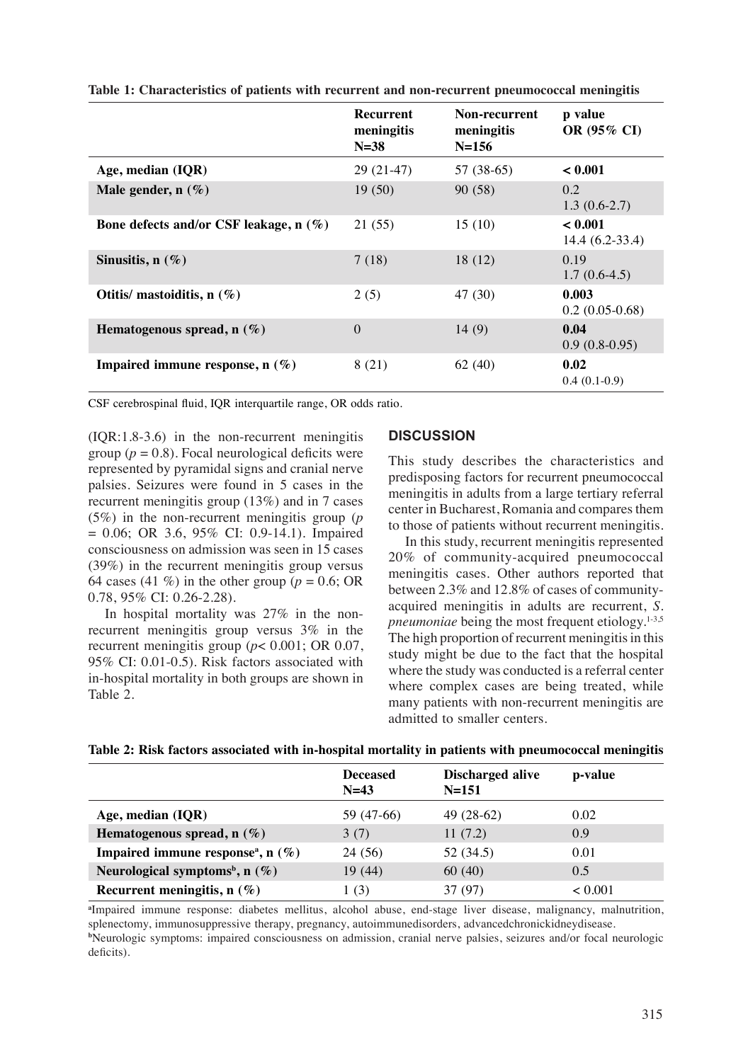|                                          | <b>Recurrent</b><br>meningitis<br>$N = 38$ | <b>Non-recurrent</b><br>meningitis<br>$N = 156$ | p value<br>OR (95% CI)      |
|------------------------------------------|--------------------------------------------|-------------------------------------------------|-----------------------------|
| Age, median (IQR)                        | $29(21-47)$                                | 57 (38-65)                                      | < 0.001                     |
| Male gender, $n(\%)$                     | 19(50)                                     | 90(58)                                          | 0.2<br>$1.3(0.6-2.7)$       |
| Bone defects and/or CSF leakage, $n$ (%) | 21 (55)                                    | 15(10)                                          | < 0.001<br>$14.4(6.2-33.4)$ |
| Sinusitis, $n(\%)$                       | 7(18)                                      | 18(12)                                          | 0.19<br>$1.7(0.6-4.5)$      |
| Otitis/ mastoiditis, $n$ (%)             | 2(5)                                       | 47 (30)                                         | 0.003<br>$0.2(0.05-0.68)$   |
| Hematogenous spread, $n(\%)$             | $\Omega$                                   | 14(9)                                           | 0.04<br>$0.9(0.8-0.95)$     |
| Impaired immune response, $n$ (%)        | 8(21)                                      | 62(40)                                          | 0.02<br>$0.4(0.1-0.9)$      |

**Table 1: Characteristics of patients with recurrent and non-recurrent pneumococcal meningitis**

CSF cerebrospinal fluid, IQR interquartile range, OR odds ratio.

(IQR:1.8-3.6) in the non-recurrent meningitis group ( $p = 0.8$ ). Focal neurological deficits were represented by pyramidal signs and cranial nerve palsies. Seizures were found in 5 cases in the recurrent meningitis group (13%) and in 7 cases (5%) in the non-recurrent meningitis group (*p*  $= 0.06$ ; OR 3.6, 95% CI: 0.9-14.1). Impaired consciousness on admission was seen in 15 cases (39%) in the recurrent meningitis group versus 64 cases (41  $\%$ ) in the other group ( $p = 0.6$ ; OR 0.78, 95% CI: 0.26-2.28).

In hospital mortality was 27% in the nonrecurrent meningitis group versus 3% in the recurrent meningitis group (*p*< 0.001; OR 0.07, 95% CI: 0.01-0.5). Risk factors associated with in-hospital mortality in both groups are shown in Table 2.

### **DISCUSSION**

This study describes the characteristics and predisposing factors for recurrent pneumococcal meningitis in adults from a large tertiary referral center in Bucharest, Romania and compares them to those of patients without recurrent meningitis.

In this study, recurrent meningitis represented 20% of community-acquired pneumococcal meningitis cases. Other authors reported that between 2.3% and 12.8% of cases of communityacquired meningitis in adults are recurrent, *S. pneumoniae* being the most frequent etiology.<sup>1-3,5</sup> The high proportion of recurrent meningitis in this study might be due to the fact that the hospital where the study was conducted is a referral center where complex cases are being treated, while many patients with non-recurrent meningitis are admitted to smaller centers.

|  | Table 2: Risk factors associated with in-hospital mortality in patients with pneumococcal meningitis |  |  |  |  |  |  |
|--|------------------------------------------------------------------------------------------------------|--|--|--|--|--|--|
|--|------------------------------------------------------------------------------------------------------|--|--|--|--|--|--|

|                                                  | <b>Deceased</b><br>$N=43$ | Discharged alive<br>$N = 151$ | p-value        |
|--------------------------------------------------|---------------------------|-------------------------------|----------------|
| Age, median (IQR)                                | 59 (47-66)                | $49(28-62)$                   | 0.02           |
| Hematogenous spread, $n(\%)$                     | 3(7)                      | 11(7.2)                       | 0.9            |
| Impaired immune response <sup>a</sup> , n $(\%)$ | 24 (56)                   | 52 (34.5)                     | 0.01           |
| Neurological symptoms <sup>b</sup> , n $(\%)$    | 19(44)                    | 60(40)                        | 0.5            |
| Recurrent meningitis, $n(\%)$                    | 1(3)                      | 37 (97)                       | ${}_{< 0.001}$ |

**a** Impaired immune response: diabetes mellitus, alcohol abuse, end-stage liver disease, malignancy, malnutrition, splenectomy, immunosuppressive therapy, pregnancy, autoimmunedisorders, advancedchronickidneydisease. **b** Neurologic symptoms: impaired consciousness on admission, cranial nerve palsies, seizures and/or focal neurologic deficits).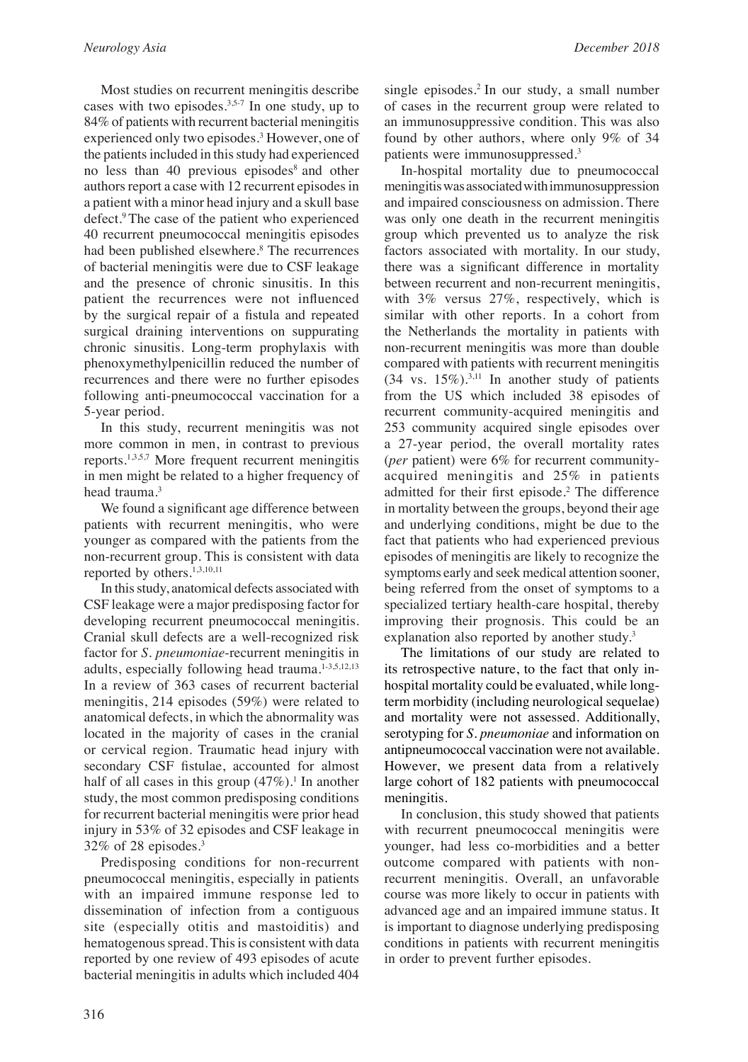Most studies on recurrent meningitis describe cases with two episodes.<sup>3,5-7</sup> In one study, up to 84% of patients with recurrent bacterial meningitis experienced only two episodes.<sup>3</sup> However, one of the patients included in this study had experienced no less than 40 previous episodes<sup>8</sup> and other authors report a case with 12 recurrent episodes in a patient with a minor head injury and a skull base defect.<sup>9</sup> The case of the patient who experienced 40 recurrent pneumococcal meningitis episodes had been published elsewhere.<sup>8</sup> The recurrences of bacterial meningitis were due to CSF leakage and the presence of chronic sinusitis. In this patient the recurrences were not influenced by the surgical repair of a fistula and repeated surgical draining interventions on suppurating chronic sinusitis. Long-term prophylaxis with phenoxymethylpenicillin reduced the number of recurrences and there were no further episodes following anti-pneumococcal vaccination for a 5-year period.

In this study, recurrent meningitis was not more common in men, in contrast to previous reports.1,3,5,7 More frequent recurrent meningitis in men might be related to a higher frequency of head trauma.<sup>3</sup>

We found a significant age difference between patients with recurrent meningitis, who were younger as compared with the patients from the non-recurrent group. This is consistent with data reported by others.1,3,10,11

In this study, anatomical defects associated with CSF leakage were a major predisposing factor for developing recurrent pneumococcal meningitis. Cranial skull defects are a well-recognized risk factor for *S. pneumoniae*-recurrent meningitis in adults, especially following head trauma. $1-3,5,12,13$ In a review of 363 cases of recurrent bacterial meningitis, 214 episodes (59%) were related to anatomical defects, in which the abnormality was located in the majority of cases in the cranial or cervical region. Traumatic head injury with secondary CSF fistulae, accounted for almost half of all cases in this group  $(47\%)$ <sup>1</sup>. In another study, the most common predisposing conditions for recurrent bacterial meningitis were prior head injury in 53% of 32 episodes and CSF leakage in 32% of 28 episodes.3

Predisposing conditions for non-recurrent pneumococcal meningitis, especially in patients with an impaired immune response led to dissemination of infection from a contiguous site (especially otitis and mastoiditis) and hematogenous spread. This is consistent with data reported by one review of 493 episodes of acute bacterial meningitis in adults which included 404 single episodes.<sup>2</sup> In our study, a small number of cases in the recurrent group were related to an immunosuppressive condition. This was also found by other authors, where only 9% of 34 patients were immunosuppressed.3

In-hospital mortality due to pneumococcal meningitis was associated with immunosuppression and impaired consciousness on admission. There was only one death in the recurrent meningitis group which prevented us to analyze the risk factors associated with mortality. In our study, there was a significant difference in mortality between recurrent and non-recurrent meningitis, with 3% versus 27%, respectively, which is similar with other reports. In a cohort from the Netherlands the mortality in patients with non-recurrent meningitis was more than double compared with patients with recurrent meningitis  $(34 \text{ vs. } 15\%)$ .<sup>3,11</sup> In another study of patients from the US which included 38 episodes of recurrent community-acquired meningitis and 253 community acquired single episodes over a 27-year period, the overall mortality rates (*per* patient) were 6% for recurrent communityacquired meningitis and 25% in patients admitted for their first episode.<sup>2</sup> The difference in mortality between the groups, beyond their age and underlying conditions, might be due to the fact that patients who had experienced previous episodes of meningitis are likely to recognize the symptoms early and seek medical attention sooner, being referred from the onset of symptoms to a specialized tertiary health-care hospital, thereby improving their prognosis. This could be an explanation also reported by another study.<sup>3</sup>

The limitations of our study are related to its retrospective nature, to the fact that only inhospital mortality could be evaluated, while longterm morbidity (including neurological sequelae) and mortality were not assessed. Additionally, serotyping for *S. pneumoniae* and information on antipneumococcal vaccination were not available. However, we present data from a relatively large cohort of 182 patients with pneumococcal meningitis.

In conclusion, this study showed that patients with recurrent pneumococcal meningitis were younger, had less co-morbidities and a better outcome compared with patients with nonrecurrent meningitis. Overall, an unfavorable course was more likely to occur in patients with advanced age and an impaired immune status. It is important to diagnose underlying predisposing conditions in patients with recurrent meningitis in order to prevent further episodes.